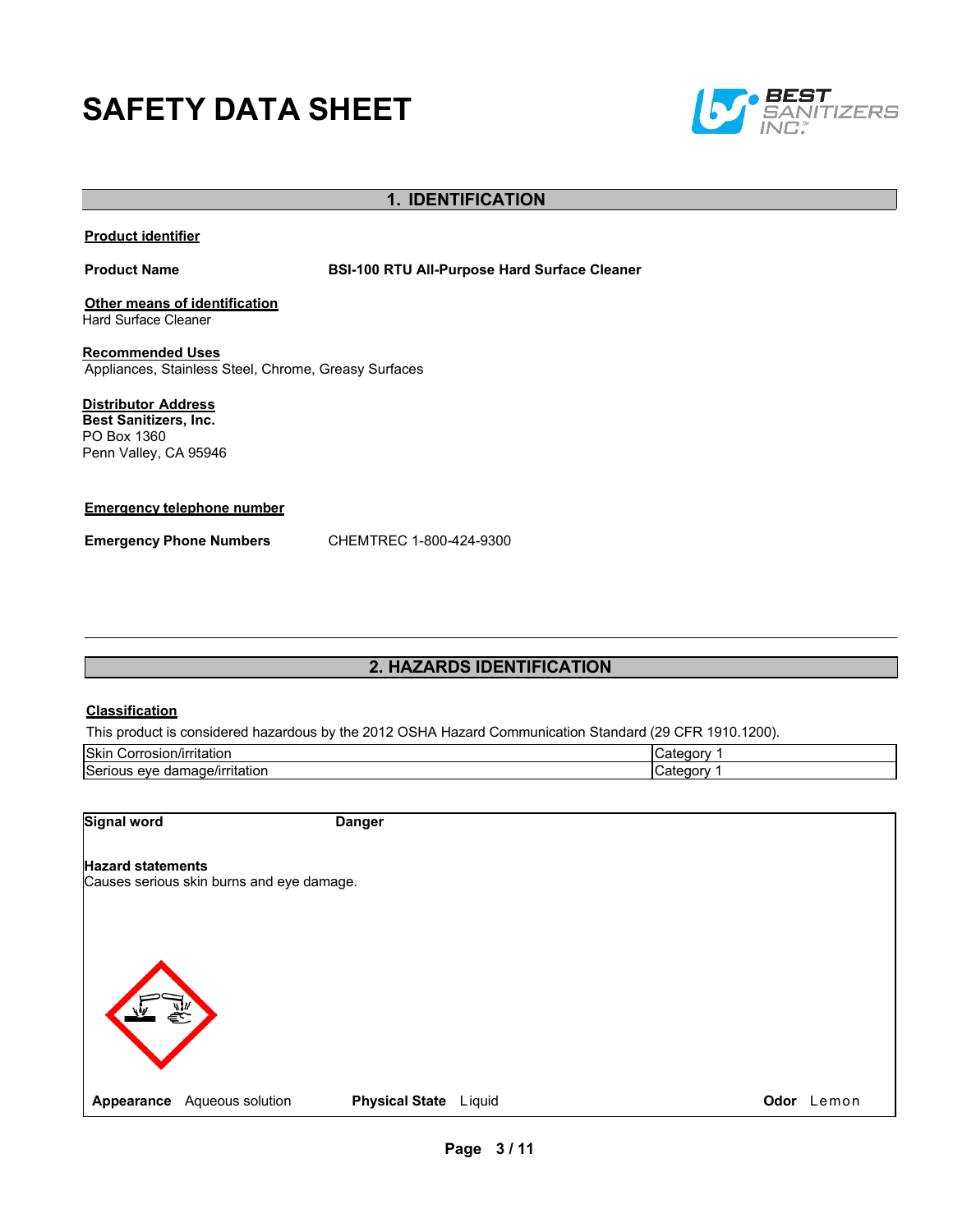# **SAFETY DATA SHEET**



## **1. IDENTIFICATION**

#### **Product identifier**

**Product Name BSI-100 RTU All-Purpose Hard Surface Cleaner**

**Other means of identification** Hard Surface Cleaner

**Recommended Uses** Appliances, Stainless Steel, Chrome, Greasy Surfaces

**Distributor Address Best Sanitizers, Inc.**  PO Box 1360 Penn Valley, CA 95946

#### **Emergency telephone number**

**Emergency Phone Numbers** CHEMTREC 1-800-424-9300

## **2. HAZARDS IDENTIFICATION**

#### **Classification**

This product is considered hazardous by the 2012 OSHA Hazard Communication Standard (29 CFR 1910.1200).

| Skin<br>/irritation<br>rosıor<br>⊝orre:                           | ----<br>זר |
|-------------------------------------------------------------------|------------|
| Seriou<br>$ -$<br>e/irritation<br>eve<br>aar<br>часте.<br>-<br>-- |            |

**Signal word Danger**

#### **Hazard statements**

Causes serious skin burns and eye damage.

**Appearance** Aqueous solution **Physical State** Liquid **CODO CODOR CONS Odor** Lemon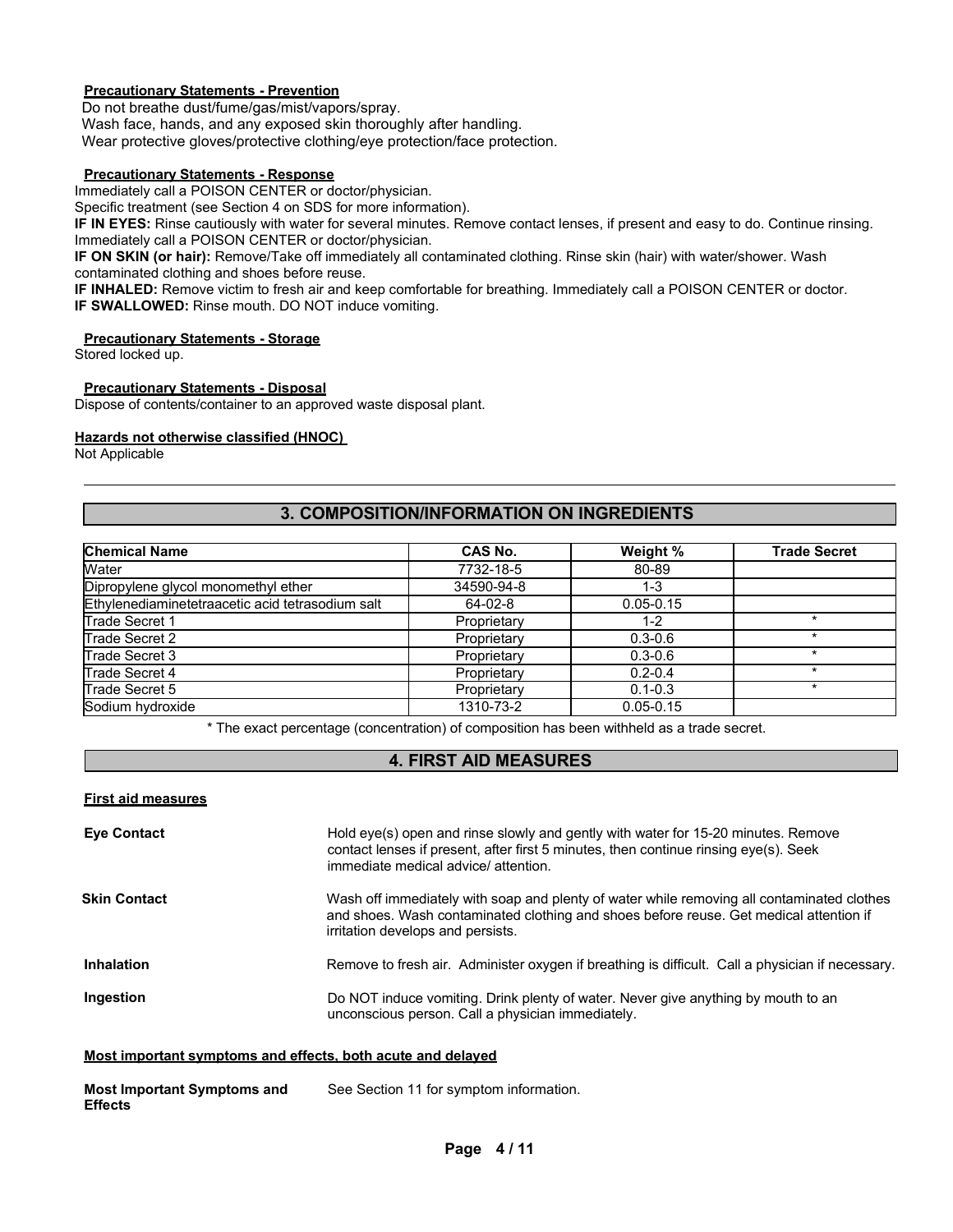## **Precautionary Statements - Prevention**

Do not breathe dust/fume/gas/mist/vapors/spray. Wash face, hands, and any exposed skin thoroughly after handling. Wear protective gloves/protective clothing/eye protection/face protection.

#### **Precautionary Statements - Response**

Immediately call a POISON CENTER or doctor/physician.

Specific treatment (see Section 4 on SDS for more information).

**IF IN EYES:** Rinse cautiously with water for several minutes. Remove contact lenses, if present and easy to do. Continue rinsing. Immediately call a POISON CENTER or doctor/physician.

**IF ON SKIN (or hair):** Remove/Take off immediately all contaminated clothing. Rinse skin (hair) with water/shower. Wash contaminated clothing and shoes before reuse.

**IF INHALED:** Remove victim to fresh air and keep comfortable for breathing. Immediately call a POISON CENTER or doctor. **IF SWALLOWED:** Rinse mouth. DO NOT induce vomiting.

#### **Precautionary Statements - Storage**

Stored locked up.

#### **Precautionary Statements - Disposal**

Dispose of contents/container to an approved waste disposal plant.

#### **Hazards not otherwise classified (HNOC)**

Not Applicable

## **3. COMPOSITION/INFORMATION ON INGREDIENTS**

| <b>Chemical Name</b>                             | CAS No.     | Weight %      | <b>Trade Secret</b> |
|--------------------------------------------------|-------------|---------------|---------------------|
| Water                                            | 7732-18-5   | 80-89         |                     |
| Dipropylene glycol monomethyl ether              | 34590-94-8  | 1-3           |                     |
| Ethylenediaminetetraacetic acid tetrasodium salt | $64-02-8$   | $0.05 - 0.15$ |                     |
| Trade Secret 1                                   | Proprietary | $1 - 2$       |                     |
| Trade Secret 2                                   | Proprietary | $0.3 - 0.6$   | *                   |
| Trade Secret 3                                   | Proprietary | $0.3 - 0.6$   |                     |
| Trade Secret 4                                   | Proprietary | $0.2 - 0.4$   |                     |
| Trade Secret 5                                   | Proprietary | $0.1 - 0.3$   |                     |
| Sodium hydroxide                                 | 1310-73-2   | $0.05 - 0.15$ |                     |

\* The exact percentage (concentration) of composition has been withheld as a trade secret.

## **4. FIRST AID MEASURES**

#### **First aid measures**

| <b>Eye Contact</b>  | Hold eye(s) open and rinse slowly and gently with water for 15-20 minutes. Remove<br>contact lenses if present, after first 5 minutes, then continue rinsing eye(s). Seek<br>immediate medical advice/attention.          |
|---------------------|---------------------------------------------------------------------------------------------------------------------------------------------------------------------------------------------------------------------------|
| <b>Skin Contact</b> | Wash off immediately with soap and plenty of water while removing all contaminated clothes<br>and shoes. Wash contaminated clothing and shoes before reuse. Get medical attention if<br>irritation develops and persists. |
| <b>Inhalation</b>   | Remove to fresh air. Administer oxygen if breathing is difficult. Call a physician if necessary.                                                                                                                          |
| Ingestion           | Do NOT induce vomiting. Drink plenty of water. Never give anything by mouth to an<br>unconscious person. Call a physician immediately.                                                                                    |

#### **Most important symptoms and effects, both acute and delayed**

| <b>Most Important Symptoms and</b> | See Section 11 for symptom information. |
|------------------------------------|-----------------------------------------|
| <b>Effects</b>                     |                                         |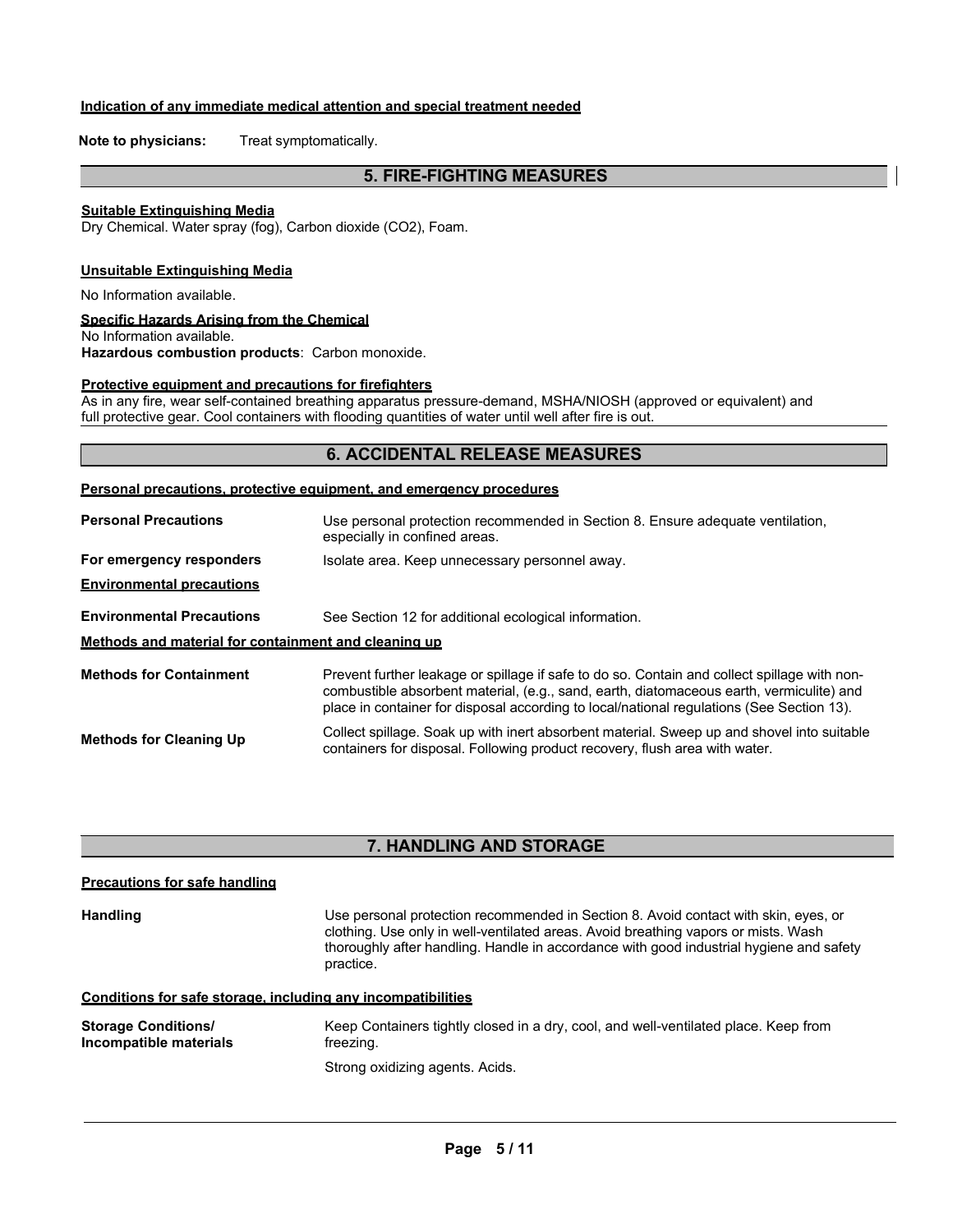#### **Indication of any immediate medical attention and special treatment needed**

**Note to physicians:** Treat symptomatically.

## **5. FIRE-FIGHTING MEASURES**

#### **Suitable Extinguishing Media**

Dry Chemical. Water spray (fog), Carbon dioxide (CO2), Foam.

#### **Unsuitable Extinguishing Media**

No Information available.

#### **Specific Hazards Arising from the Chemical**

No Information available. **Hazardous combustion products**: Carbon monoxide.

#### **Protective equipment and precautions for firefighters**

As in any fire, wear self-contained breathing apparatus pressure-demand, MSHA/NIOSH (approved or equivalent) and full protective gear. Cool containers with flooding quantities of water until well after fire is out.

## **6. ACCIDENTAL RELEASE MEASURES**

#### **Personal precautions, protective equipment, and emergency procedures**

| <b>Personal Precautions</b>                          | Use personal protection recommended in Section 8. Ensure adequate ventilation,<br>especially in confined areas.                                                                                                                                                                       |  |  |  |  |  |
|------------------------------------------------------|---------------------------------------------------------------------------------------------------------------------------------------------------------------------------------------------------------------------------------------------------------------------------------------|--|--|--|--|--|
| For emergency responders                             | Isolate area. Keep unnecessary personnel away.                                                                                                                                                                                                                                        |  |  |  |  |  |
| <b>Environmental precautions</b>                     |                                                                                                                                                                                                                                                                                       |  |  |  |  |  |
| <b>Environmental Precautions</b>                     | See Section 12 for additional ecological information.                                                                                                                                                                                                                                 |  |  |  |  |  |
| Methods and material for containment and cleaning up |                                                                                                                                                                                                                                                                                       |  |  |  |  |  |
| <b>Methods for Containment</b>                       | Prevent further leakage or spillage if safe to do so. Contain and collect spillage with non-<br>combustible absorbent material, (e.g., sand, earth, diatomaceous earth, vermiculite) and<br>place in container for disposal according to local/national regulations (See Section 13). |  |  |  |  |  |
| <b>Methods for Cleaning Up</b>                       | Collect spillage. Soak up with inert absorbent material. Sweep up and shovel into suitable<br>containers for disposal. Following product recovery, flush area with water.                                                                                                             |  |  |  |  |  |

## **7. HANDLING AND STORAGE**

| <b>Precautions for safe handling</b>                 |                                                                                                                                                                                                                                                                                   |
|------------------------------------------------------|-----------------------------------------------------------------------------------------------------------------------------------------------------------------------------------------------------------------------------------------------------------------------------------|
| <b>Handling</b>                                      | Use personal protection recommended in Section 8. Avoid contact with skin, eyes, or<br>clothing. Use only in well-ventilated areas. Avoid breathing vapors or mists. Wash<br>thoroughly after handling. Handle in accordance with good industrial hygiene and safety<br>practice. |
|                                                      | Conditions for safe storage, including any incompatibilities                                                                                                                                                                                                                      |
| <b>Storage Conditions/</b><br>Incompatible materials | Keep Containers tightly closed in a dry, cool, and well-ventilated place. Keep from<br>freezing.                                                                                                                                                                                  |
|                                                      | Strong oxidizing agents. Acids.                                                                                                                                                                                                                                                   |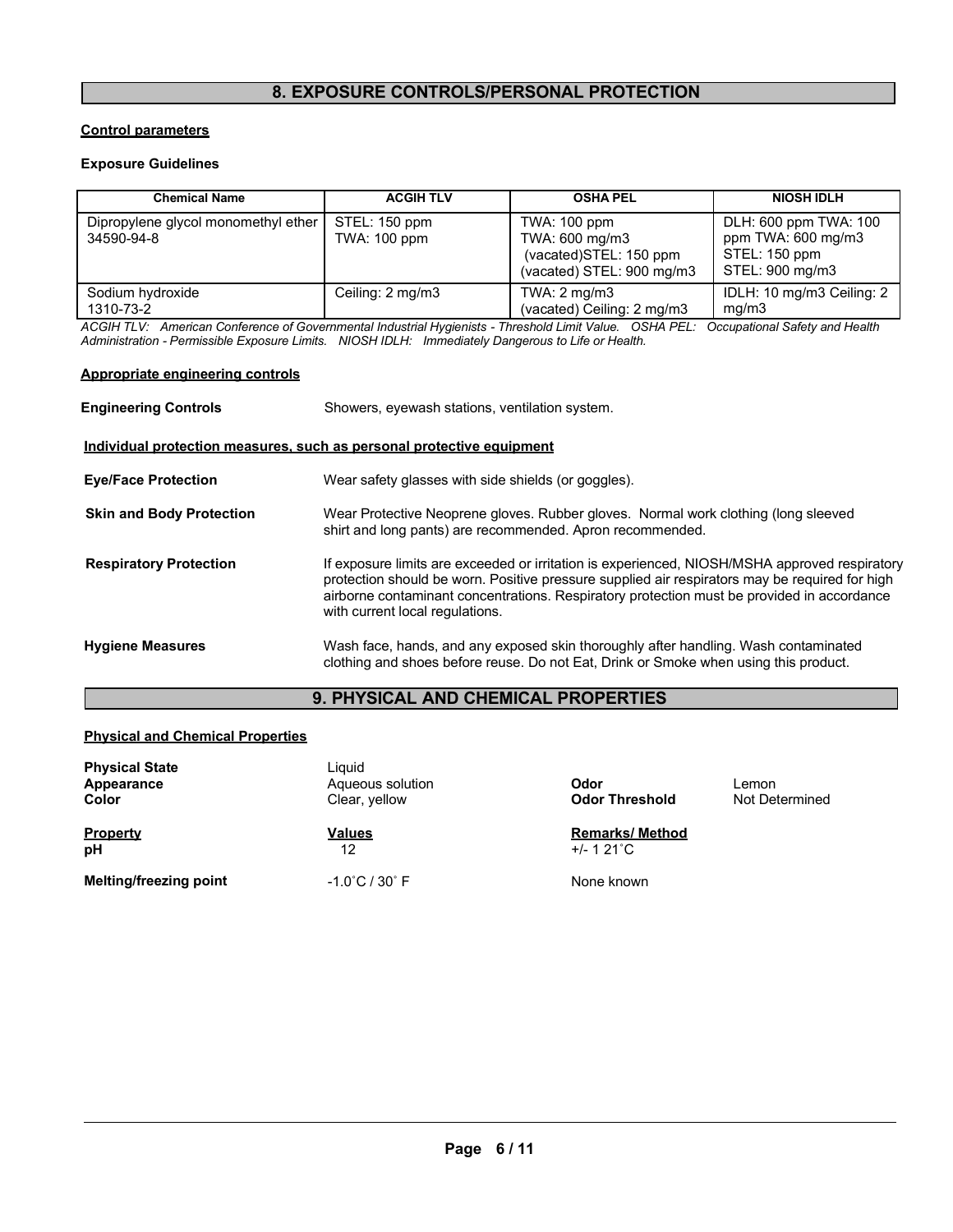## **8. EXPOSURE CONTROLS/PERSONAL PROTECTION**

#### **Control parameters**

#### **Exposure Guidelines**

| <b>Chemical Name</b>                              | <b>ACGIH TLV</b>              | <b>OSHA PEL</b>                                                                       | <b>NIOSH IDLH</b>                                                               |
|---------------------------------------------------|-------------------------------|---------------------------------------------------------------------------------------|---------------------------------------------------------------------------------|
| Dipropylene glycol monomethyl ether<br>34590-94-8 | STEL: 150 ppm<br>TWA: 100 ppm | TWA: 100 ppm<br>TWA: 600 mg/m3<br>(vacated)STEL: 150 ppm<br>(vacated) STEL: 900 mg/m3 | DLH: 600 ppm TWA: 100<br>ppm TWA: 600 mg/m3<br>STEL: 150 ppm<br>STEL: 900 mg/m3 |
| Sodium hydroxide<br>1310-73-2                     | Ceiling: 2 mg/m3              | TWA: $2 \text{ mg/m}$ 3<br>(vacated) Ceiling: 2 mg/m3                                 | IDLH: 10 mg/m3 Ceiling: 2<br>mq/m3                                              |

*ACGIH TLV: American Conference of Governmental Industrial Hygienists - Threshold Limit Value. OSHA PEL: Occupational Safety and Health Administration - Permissible Exposure Limits. NIOSH IDLH: Immediately Dangerous to Life or Health.*

#### **Appropriate engineering controls**

| <b>Engineering Controls</b>     | Showers, eyewash stations, ventilation system.                                                                                                                                                                                                                                                                                   |  |  |  |  |
|---------------------------------|----------------------------------------------------------------------------------------------------------------------------------------------------------------------------------------------------------------------------------------------------------------------------------------------------------------------------------|--|--|--|--|
|                                 | Individual protection measures, such as personal protective equipment                                                                                                                                                                                                                                                            |  |  |  |  |
| <b>Eye/Face Protection</b>      | Wear safety glasses with side shields (or goggles).                                                                                                                                                                                                                                                                              |  |  |  |  |
| <b>Skin and Body Protection</b> | Wear Protective Neoprene gloves. Rubber gloves. Normal work clothing (long sleeved<br>shirt and long pants) are recommended. Apron recommended.                                                                                                                                                                                  |  |  |  |  |
| <b>Respiratory Protection</b>   | If exposure limits are exceeded or irritation is experienced, NIOSH/MSHA approved respiratory<br>protection should be worn. Positive pressure supplied air respirators may be required for high<br>airborne contaminant concentrations. Respiratory protection must be provided in accordance<br>with current local regulations. |  |  |  |  |
| <b>Hygiene Measures</b>         | Wash face, hands, and any exposed skin thoroughly after handling. Wash contaminated<br>clothing and shoes before reuse. Do not Eat, Drink or Smoke when using this product.                                                                                                                                                      |  |  |  |  |

## **9. PHYSICAL AND CHEMICAL PROPERTIES**

#### **Physical and Chemical Properties**

| <b>Physical State</b><br>Appearance<br>Color | Liauid<br>Aqueous solution<br>Clear, yellow | Odor<br><b>Odor Threshold</b>                 | Lemon<br>Not Determined |  |
|----------------------------------------------|---------------------------------------------|-----------------------------------------------|-------------------------|--|
| <b>Property</b><br>pH                        | <b>Values</b><br>12                         | <b>Remarks/ Method</b><br>$+/- 121^{\circ}$ C |                         |  |
| <b>Melting/freezing point</b>                | $-1.0^{\circ}$ C / 30 $^{\circ}$ F          | None known                                    |                         |  |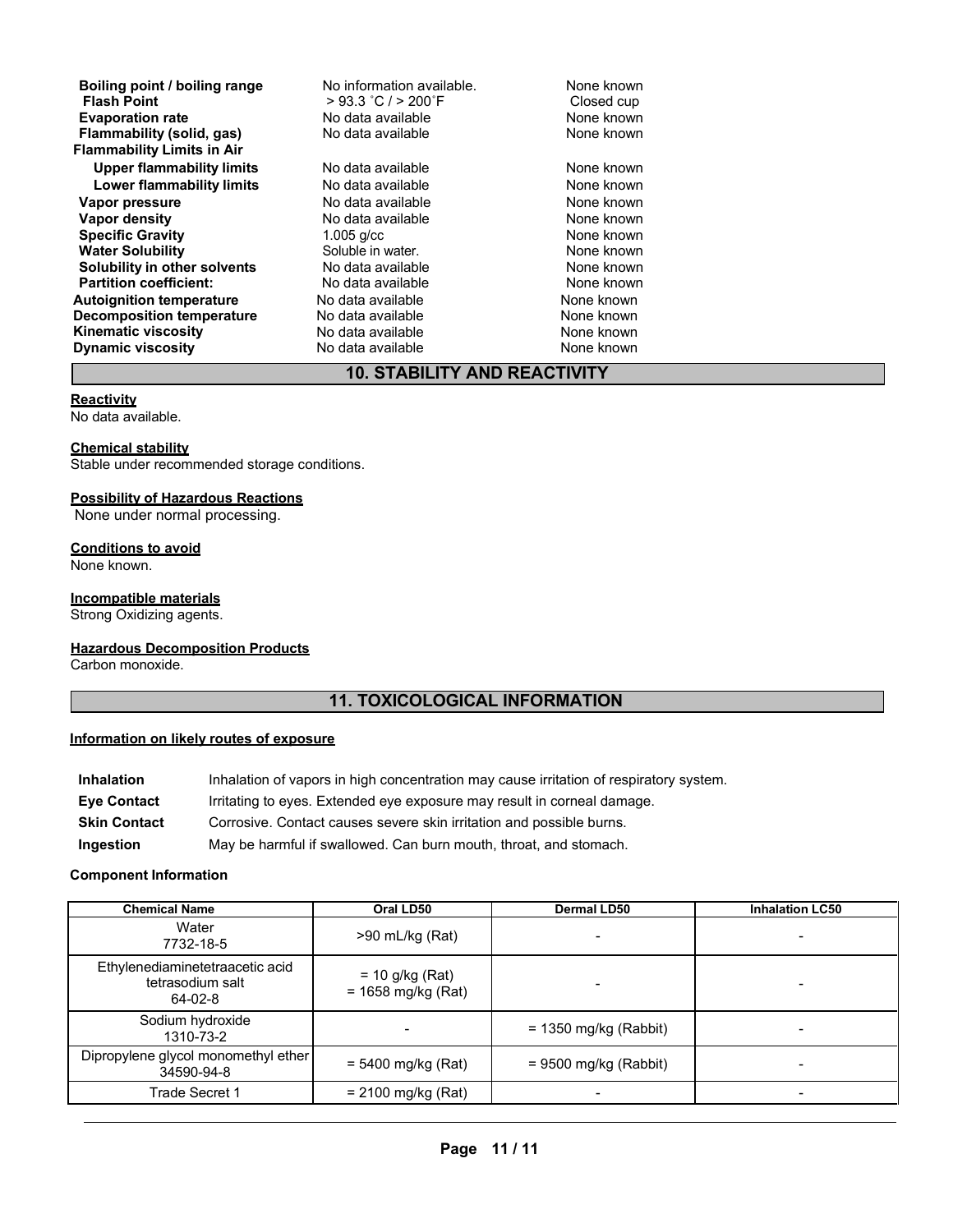**Boiling point / boiling range** No information available. None known<br>
Flash Point **Property** > 93.3 °C / > 200 °F Closed cup **Figure 3 °C / > 200°F** Closed cup<br>
No data available<br>
None known **Evaporation rate and the Secure Cone Cone Cone Cone Cone Cone known**<br> **Flammability (solid. gas)** No data available **None known** None known **Flammability** (solid, gas) **Flammability Limits in Air Upper flammability limits** No data available None Known None known **Lower flammability limits** No data available None Known None known **Vapor pressure** No data available None known<br> **Vapor density** No data available None known **Vapor density Specific Gravity** 1.005 g/cc **None known**<br> **Water Solubility** Coluble in water. The Mone known **Water Solubility** Soluble in water. None known **Solubility in other solvents** No data available **None known**<br> **Partition coefficient:** No data available **None known**<br>
None known **Partition coefficient:** No data available None known **Autoignition temperature** No data available **None known**<br> **Decomposition temperature** No data available **None known Decomposition temperature** No data available<br>**Kinematic viscosity** No data available **Kinematic viscosity No data available None known Dynamic viscosity No data available None known** 

## **10. STABILITY AND REACTIVITY**

#### **Reactivity**

No data available.

#### **Chemical stability**

Stable under recommended storage conditions.

#### **Possibility of Hazardous Reactions**

None under normal processing.

#### **Conditions to avoid**

None known.

#### **Incompatible materials**

Strong Oxidizing agents.

#### **Hazardous Decomposition Products**

Carbon monoxide.

## **11. TOXICOLOGICAL INFORMATION**

#### **Information on likely routes of exposure**

| Inhalation          | Inhalation of vapors in high concentration may cause irritation of respiratory system. |
|---------------------|----------------------------------------------------------------------------------------|
| <b>Eve Contact</b>  | Irritating to eyes. Extended eye exposure may result in corneal damage.                |
| <b>Skin Contact</b> | Corrosive. Contact causes severe skin irritation and possible burns.                   |
| Ingestion           | May be harmful if swallowed. Can burn mouth, throat, and stomach.                      |

#### **Component Information**

| <b>Chemical Name</b>                                           | Oral LD50                                 | <b>Dermal LD50</b>      | <b>Inhalation LC50</b> |
|----------------------------------------------------------------|-------------------------------------------|-------------------------|------------------------|
| Water<br>7732-18-5                                             | $>90$ mL/kg (Rat)                         |                         |                        |
| Ethylenediaminetetraacetic acid<br>tetrasodium salt<br>64-02-8 | $= 10$ g/kg (Rat)<br>$= 1658$ mg/kg (Rat) |                         |                        |
| Sodium hydroxide<br>1310-73-2                                  |                                           | $= 1350$ mg/kg (Rabbit) |                        |
| Dipropylene glycol monomethyl ether<br>34590-94-8              | $= 5400$ mg/kg (Rat)                      | $= 9500$ mg/kg (Rabbit) |                        |
| Trade Secret 1                                                 | $= 2100$ mg/kg (Rat)                      |                         |                        |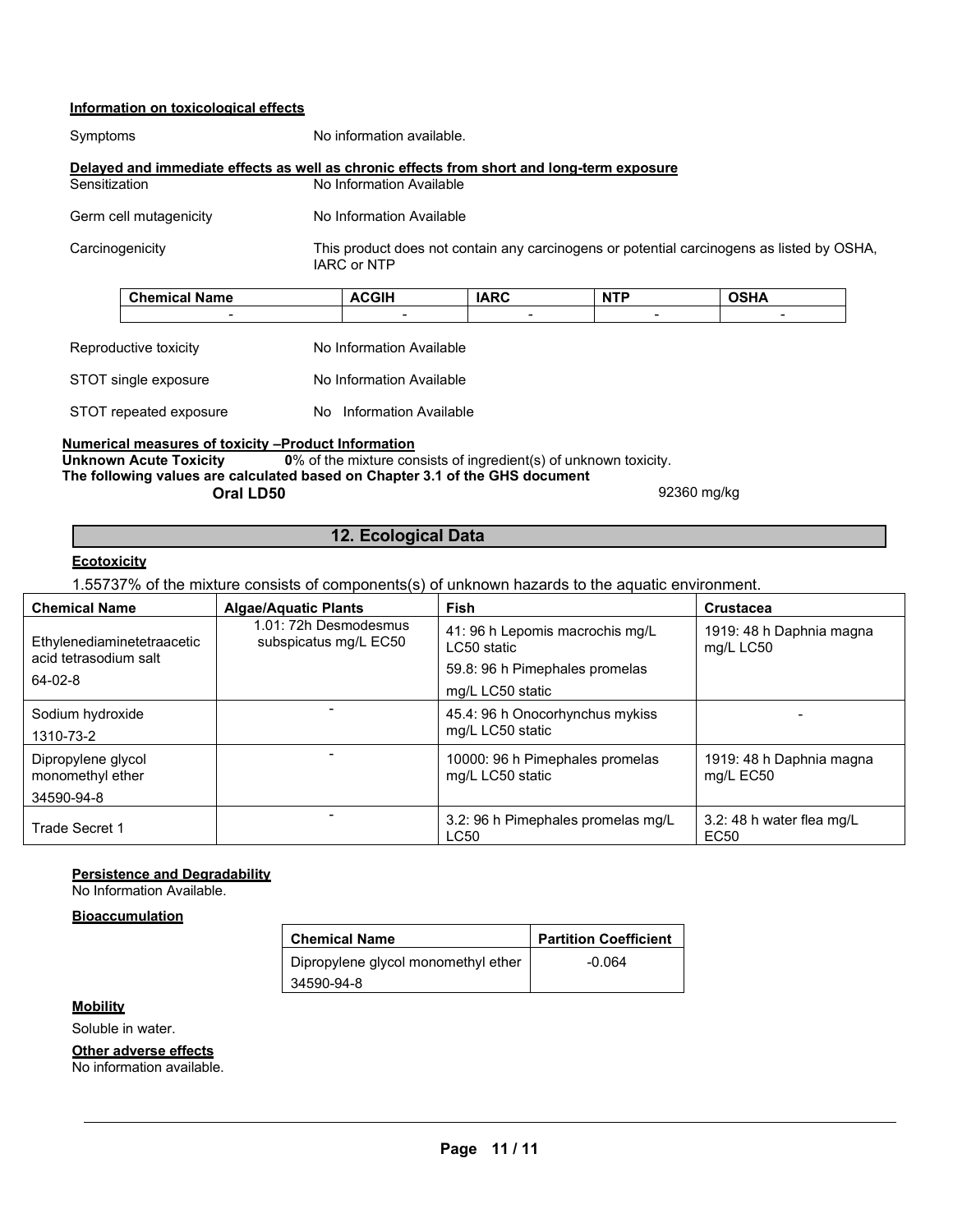## **Information on toxicological effects**

| Symptoms                                                                                   | No information available.                                                                                |                          |                |             |  |
|--------------------------------------------------------------------------------------------|----------------------------------------------------------------------------------------------------------|--------------------------|----------------|-------------|--|
| Delayed and immediate effects as well as chronic effects from short and long-term exposure |                                                                                                          |                          |                |             |  |
| Sensitization                                                                              | No Information Available                                                                                 |                          |                |             |  |
| Germ cell mutagenicity                                                                     |                                                                                                          | No Information Available |                |             |  |
| Carcinogenicity                                                                            | This product does not contain any carcinogens or potential carcinogens as listed by OSHA,<br>IARC or NTP |                          |                |             |  |
| <b>Chemical Name</b>                                                                       | <b>ACGIH</b>                                                                                             | <b>IARC</b>              | <b>NTP</b>     | <b>OSHA</b> |  |
|                                                                                            |                                                                                                          |                          | $\blacksquare$ |             |  |
| Reproductive toxicity                                                                      |                                                                                                          | No Information Available |                |             |  |
| STOT single exposure                                                                       |                                                                                                          | No Information Available |                |             |  |
| STOT repeated exposure                                                                     |                                                                                                          | No Information Available |                |             |  |
| Numerical measures of toxicity --Product Information                                       |                                                                                                          |                          |                |             |  |
| Unknown Acute Toxicity                                                                     | $\mathbf{0}$ of the mixture consists of ingredient(s) of unknown toxicity.                               |                          |                |             |  |

**The following values are calculated based on Chapter 3.1 of the GHS document Oral LD50** 92360 mg/kg

## **12. Ecological Data**

#### **Ecotoxicity**

1.55737% of the mixture consists of components(s) of unknown hazards to the aquatic environment.

| <b>Chemical Name</b>                                | <b>Algae/Aquatic Plants</b>                    | <b>Fish</b>                                         | <b>Crustacea</b>                              |
|-----------------------------------------------------|------------------------------------------------|-----------------------------------------------------|-----------------------------------------------|
| Ethylenediaminetetraacetic<br>acid tetrasodium salt | 1.01: 72h Desmodesmus<br>subspicatus mg/L EC50 | 41: 96 h Lepomis macrochis mg/L<br>LC50 static      | 1919: 48 h Daphnia magna<br>mg/L LC50         |
|                                                     |                                                | 59.8: 96 h Pimephales promelas                      |                                               |
| $64 - 02 - 8$                                       |                                                | mg/L LC50 static                                    |                                               |
| Sodium hydroxide                                    |                                                | 45.4: 96 h Onocorhynchus mykiss                     |                                               |
| 1310-73-2                                           |                                                | mg/L LC50 static                                    |                                               |
| Dipropylene glycol<br>monomethyl ether              |                                                | 10000: 96 h Pimephales promelas<br>mg/L LC50 static | 1919: 48 h Daphnia magna<br>mg/L EC50         |
| 34590-94-8                                          |                                                |                                                     |                                               |
| <b>Trade Secret 1</b>                               |                                                | 3.2: 96 h Pimephales promelas mg/L<br><b>LC50</b>   | 3.2: 48 h water flea mg/L<br>EC <sub>50</sub> |

#### **Persistence and Degradability**

No Information Available.

## **Bioaccumulation**

| <b>Chemical Name</b>                | <b>Partition Coefficient</b> |  |
|-------------------------------------|------------------------------|--|
| Dipropylene glycol monomethyl ether | -0.064                       |  |
| 34590-94-8                          |                              |  |

## **Mobility**

Soluble in water.

**Other adverse effects**

No information available.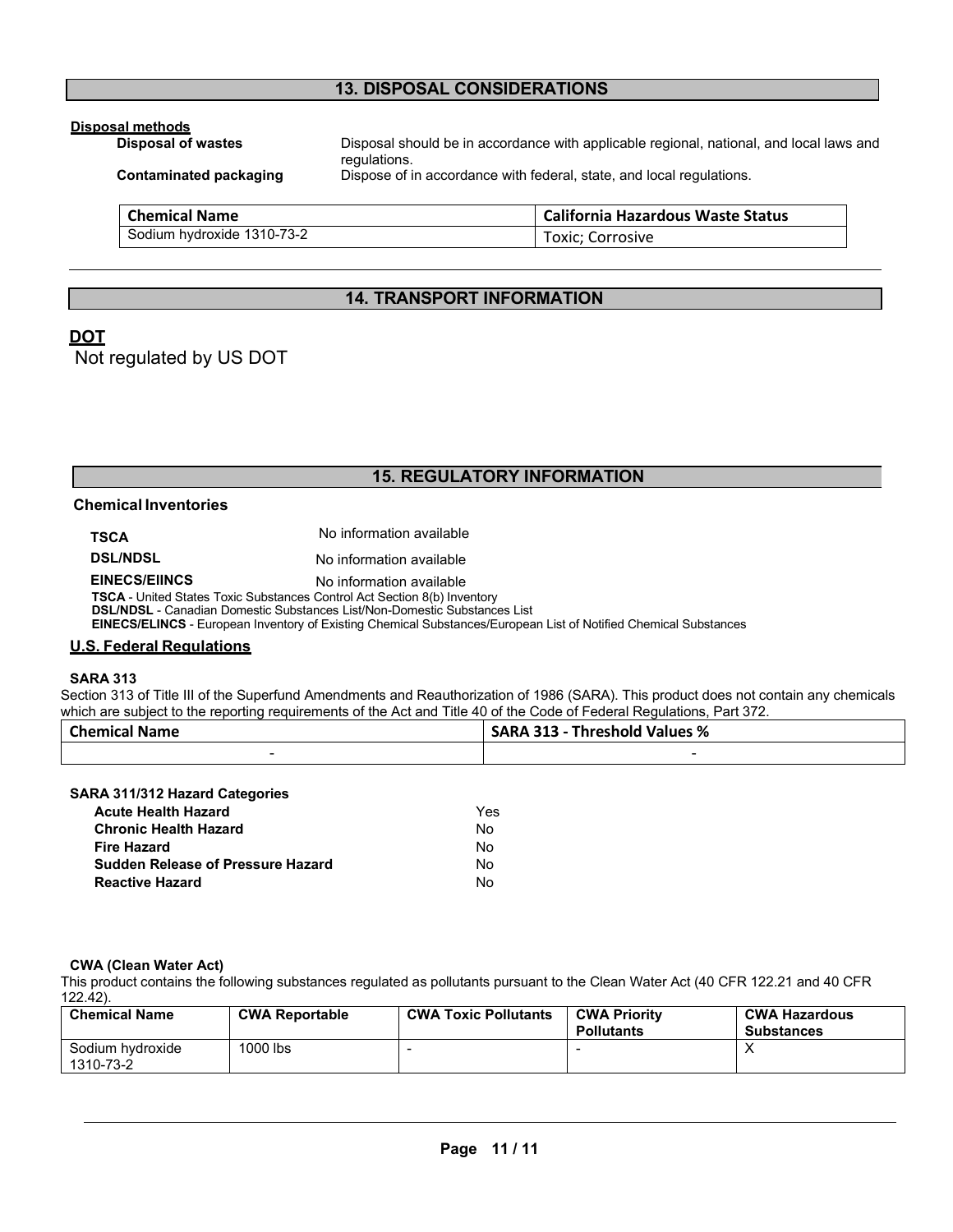## **13. DISPOSAL CONSIDERATIONS**

## **Disposal methods**

Disposal should be in accordance with applicable regional, national, and local laws and regulations. **Contaminated packaging** Dispose of in accordance with federal, state, and local regulations. **Chemical Name California Hazardous Waste Status** Sodium hydroxide 1310-73-2 Toxic; Corrosive

## **14. TRANSPORT INFORMATION**

## **DOT**

Not regulated by US DOT

## **15. REGULATORY INFORMATION**

## **Chemical Inventories**

| <b>TSCA</b>                                                              | No information available                                                                                                |
|--------------------------------------------------------------------------|-------------------------------------------------------------------------------------------------------------------------|
| <b>DSL/NDSL</b>                                                          | No information available                                                                                                |
| <b>EINECS/EIINCS</b>                                                     | No information available                                                                                                |
| TSCA - United States Toxic Substances Control Act Section 8(b) Inventory |                                                                                                                         |
|                                                                          | <b>DSL/NDSL</b> - Canadian Domestic Substances List/Non-Domestic Substances List                                        |
|                                                                          | <b>EINECS/ELINCS</b> - European Inventory of Existing Chemical Substances/European List of Notified Chemical Substances |

#### **U.S. Federal Regulations**

#### **SARA 313**

Section 313 of Title III of the Superfund Amendments and Reauthorization of 1986 (SARA). This product does not contain any chemicals which are subject to the reporting requirements of the Act and Title 40 of the Code of Federal Regulations, Part 372.

| <b>Chemical Name</b> |  | <b>SARA 313 - Threshold Values %</b> |
|----------------------|--|--------------------------------------|
|                      |  |                                      |

#### **SARA 311/312 Hazard Categories**

| <b>Acute Health Hazard</b>               | Yes |
|------------------------------------------|-----|
| <b>Chronic Health Hazard</b>             | Nο  |
| <b>Fire Hazard</b>                       | Nο  |
| <b>Sudden Release of Pressure Hazard</b> | Nο  |
| <b>Reactive Hazard</b>                   | N٥  |

#### **CWA (Clean Water Act)**

This product contains the following substances regulated as pollutants pursuant to the Clean Water Act (40 CFR 122.21 and 40 CFR 122.42).

| <b>Chemical Name</b>          | <b>CWA Reportable</b> | <b>CWA Toxic Pollutants</b> | <b>CWA Priority</b><br><b>Pollutants</b> | <b>CWA Hazardous</b><br><b>Substances</b> |
|-------------------------------|-----------------------|-----------------------------|------------------------------------------|-------------------------------------------|
| Sodium hydroxide<br>1310-73-2 | 1000 lbs              |                             |                                          |                                           |